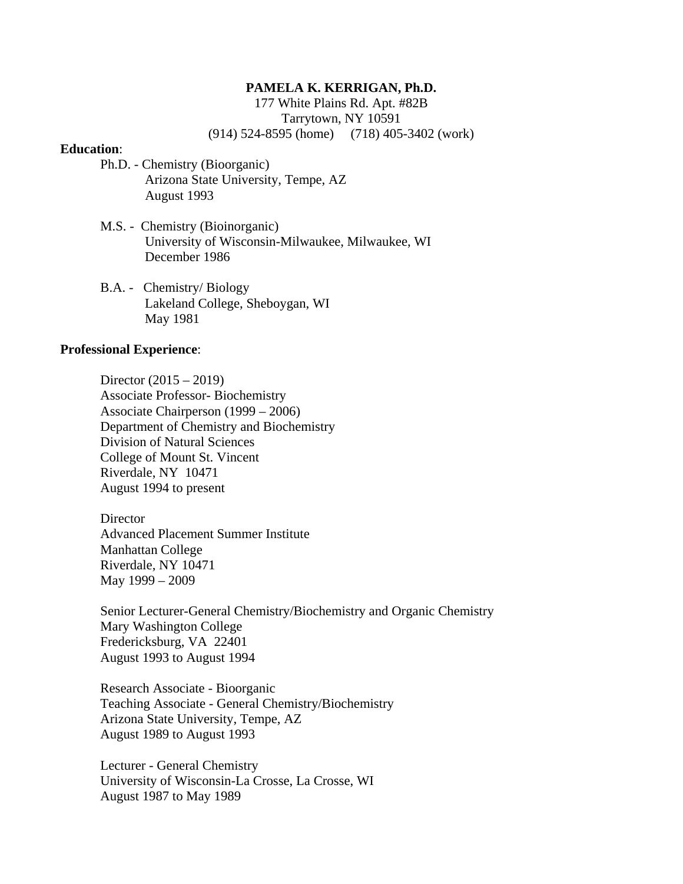### **PAMELA K. KERRIGAN, Ph.D.**

177 White Plains Rd. Apt. #82B Tarrytown, NY 10591 (914) 524-8595 (home) (718) 405-3402 (work)

### **Education**:

- Ph.D. Chemistry (Bioorganic) Arizona State University, Tempe, AZ August 1993
- M.S. Chemistry (Bioinorganic) University of Wisconsin-Milwaukee, Milwaukee, WI December 1986
- B.A. Chemistry/ Biology Lakeland College, Sheboygan, WI May 1981

### **Professional Experience**:

Director (2015 – 2019) Associate Professor- Biochemistry Associate Chairperson (1999 – 2006) Department of Chemistry and Biochemistry Division of Natural Sciences College of Mount St. Vincent Riverdale, NY 10471 August 1994 to present

**Director** Advanced Placement Summer Institute Manhattan College Riverdale, NY 10471 May 1999 – 2009

Senior Lecturer-General Chemistry/Biochemistry and Organic Chemistry Mary Washington College Fredericksburg, VA 22401 August 1993 to August 1994

Research Associate - Bioorganic Teaching Associate - General Chemistry/Biochemistry Arizona State University, Tempe, AZ August 1989 to August 1993

Lecturer - General Chemistry University of Wisconsin-La Crosse, La Crosse, WI August 1987 to May 1989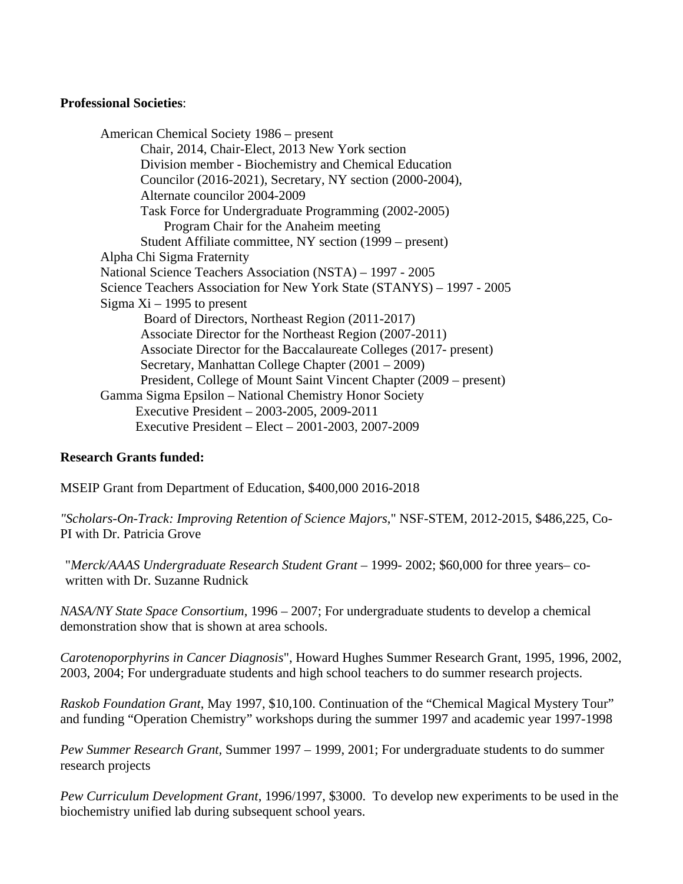## **Professional Societies**:

American Chemical Society 1986 – present Chair, 2014, Chair-Elect, 2013 New York section Division member - Biochemistry and Chemical Education Councilor (2016-2021), Secretary, NY section (2000-2004), Alternate councilor 2004-2009 Task Force for Undergraduate Programming (2002-2005) Program Chair for the Anaheim meeting Student Affiliate committee, NY section (1999 – present) Alpha Chi Sigma Fraternity National Science Teachers Association (NSTA) – 1997 - 2005 Science Teachers Association for New York State (STANYS) – 1997 - 2005 Sigma  $Xi - 1995$  to present Board of Directors, Northeast Region (2011-2017) Associate Director for the Northeast Region (2007-2011) Associate Director for the Baccalaureate Colleges (2017- present) Secretary, Manhattan College Chapter (2001 – 2009) President, College of Mount Saint Vincent Chapter (2009 – present) Gamma Sigma Epsilon – National Chemistry Honor Society Executive President – 2003-2005, 2009-2011 Executive President – Elect – 2001-2003, 2007-2009

# **Research Grants funded:**

MSEIP Grant from Department of Education, \$400,000 2016-2018

*"Scholars-On-Track: Improving Retention of Science Majors*," NSF-STEM, 2012-2015, \$486,225, Co-PI with Dr. Patricia Grove

"*Merck/AAAS Undergraduate Research Student Grant* – 1999- 2002; \$60,000 for three years– cowritten with Dr. Suzanne Rudnick

*NASA/NY State Space Consortium*, 1996 – 2007; For undergraduate students to develop a chemical demonstration show that is shown at area schools.

*Carotenoporphyrins in Cancer Diagnosis*", Howard Hughes Summer Research Grant, 1995, 1996, 2002, 2003, 2004; For undergraduate students and high school teachers to do summer research projects.

*Raskob Foundation Grant*, May 1997, \$10,100. Continuation of the "Chemical Magical Mystery Tour" and funding "Operation Chemistry" workshops during the summer 1997 and academic year 1997-1998

*Pew Summer Research Grant,* Summer 1997 – 1999, 2001; For undergraduate students to do summer research projects

*Pew Curriculum Development Grant*, 1996/1997, \$3000. To develop new experiments to be used in the biochemistry unified lab during subsequent school years.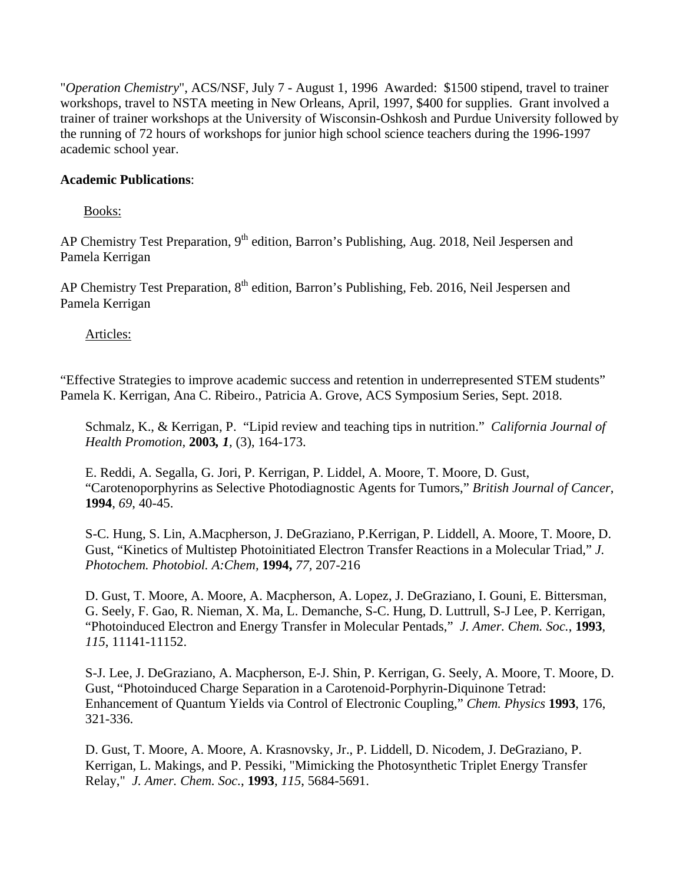"*Operation Chemistry*", ACS/NSF, July 7 - August 1, 1996 Awarded: \$1500 stipend, travel to trainer workshops, travel to NSTA meeting in New Orleans, April, 1997, \$400 for supplies. Grant involved a trainer of trainer workshops at the University of Wisconsin-Oshkosh and Purdue University followed by the running of 72 hours of workshops for junior high school science teachers during the 1996-1997 academic school year.

## **Academic Publications**:

Books:

AP Chemistry Test Preparation, 9<sup>th</sup> edition, Barron's Publishing, Aug. 2018, Neil Jespersen and Pamela Kerrigan

AP Chemistry Test Preparation, 8<sup>th</sup> edition, Barron's Publishing, Feb. 2016, Neil Jespersen and Pamela Kerrigan

Articles:

"Effective Strategies to improve academic success and retention in underrepresented STEM students" Pamela K. Kerrigan, Ana C. Ribeiro., Patricia A. Grove, ACS Symposium Series, Sept. 2018.

Schmalz, K., & Kerrigan, P. "Lipid review and teaching tips in nutrition." *California Journal of Health Promotion,* **2003***, 1,* (3), 164-173.

 E. Reddi, A. Segalla, G. Jori, P. Kerrigan, P. Liddel, A. Moore, T. Moore, D. Gust, "Carotenoporphyrins as Selective Photodiagnostic Agents for Tumors," *British Journal of Cancer*, **1994**, *69*, 40-45.

S-C. Hung, S. Lin, A.Macpherson, J. DeGraziano, P.Kerrigan, P. Liddell, A. Moore, T. Moore, D. Gust, "Kinetics of Multistep Photoinitiated Electron Transfer Reactions in a Molecular Triad," *J. Photochem. Photobiol. A:Chem,* **1994,** *77,* 207-216

D. Gust, T. Moore, A. Moore, A. Macpherson, A. Lopez, J. DeGraziano, I. Gouni, E. Bittersman, G. Seely, F. Gao, R. Nieman, X. Ma, L. Demanche, S-C. Hung, D. Luttrull, S-J Lee, P. Kerrigan, "Photoinduced Electron and Energy Transfer in Molecular Pentads," *J. Amer. Chem. Soc.*, **1993**, *115*, 11141-11152.

S-J. Lee, J. DeGraziano, A. Macpherson, E-J. Shin, P. Kerrigan, G. Seely, A. Moore, T. Moore, D. Gust, "Photoinduced Charge Separation in a Carotenoid-Porphyrin-Diquinone Tetrad: Enhancement of Quantum Yields via Control of Electronic Coupling," *Chem. Physics* **1993**, 176, 321-336.

D. Gust, T. Moore, A. Moore, A. Krasnovsky, Jr., P. Liddell, D. Nicodem, J. DeGraziano, P. Kerrigan, L. Makings, and P. Pessiki, "Mimicking the Photosynthetic Triplet Energy Transfer Relay," *J. Amer. Chem. Soc.*, **1993**, *115*, 5684-5691.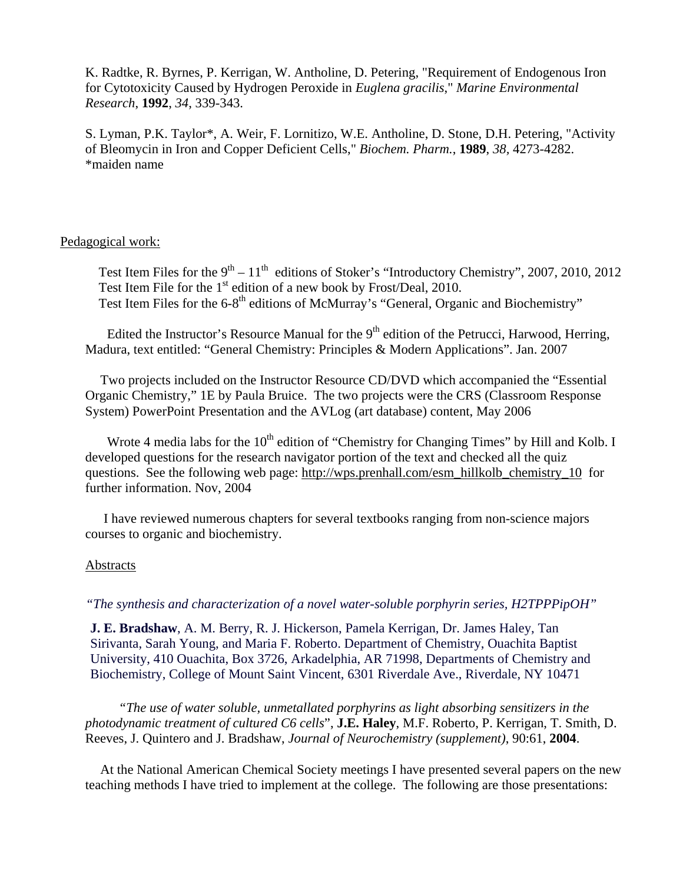K. Radtke, R. Byrnes, P. Kerrigan, W. Antholine, D. Petering, "Requirement of Endogenous Iron for Cytotoxicity Caused by Hydrogen Peroxide in *Euglena gracilis*," *Marine Environmental Research*, **1992**, *34*, 339-343.

S. Lyman, P.K. Taylor\*, A. Weir, F. Lornitizo, W.E. Antholine, D. Stone, D.H. Petering, "Activity of Bleomycin in Iron and Copper Deficient Cells," *Biochem. Pharm.*, **1989**, *38,* 4273-4282. \*maiden name

### Pedagogical work:

Test Item Files for the  $9<sup>th</sup> - 11<sup>th</sup>$  editions of Stoker's "Introductory Chemistry", 2007, 2010, 2012 Test Item File for the 1<sup>st</sup> edition of a new book by Frost/Deal, 2010. Test Item Files for the 6-8<sup>th</sup> editions of McMurray's "General, Organic and Biochemistry"

Edited the Instructor's Resource Manual for the  $9<sup>th</sup>$  edition of the Petrucci, Harwood, Herring, Madura, text entitled: "General Chemistry: Principles & Modern Applications". Jan. 2007

 Two projects included on the Instructor Resource CD/DVD which accompanied the "Essential Organic Chemistry," 1E by Paula Bruice. The two projects were the CRS (Classroom Response System) PowerPoint Presentation and the AVLog (art database) content, May 2006

Wrote 4 media labs for the  $10<sup>th</sup>$  edition of "Chemistry for Changing Times" by Hill and Kolb. I developed questions for the research navigator portion of the text and checked all the quiz questions. See the following web page: http://wps.prenhall.com/esm\_hillkolb\_chemistry\_10 for further information. Nov, 2004

 I have reviewed numerous chapters for several textbooks ranging from non-science majors courses to organic and biochemistry.

#### Abstracts

*"The synthesis and characterization of a novel water-soluble porphyrin series, H2TPPPipOH"* 

**J. E. Bradshaw**, A. M. Berry, R. J. Hickerson, Pamela Kerrigan, Dr. James Haley, Tan Sirivanta, Sarah Young, and Maria F. Roberto. Department of Chemistry, Ouachita Baptist University, 410 Ouachita, Box 3726, Arkadelphia, AR 71998, Departments of Chemistry and Biochemistry, College of Mount Saint Vincent, 6301 Riverdale Ave., Riverdale, NY 10471

 *"The use of water soluble, unmetallated porphyrins as light absorbing sensitizers in the photodynamic treatment of cultured C6 cells*", **J.E. Haley**, M.F. Roberto, P. Kerrigan, T. Smith, D. Reeves, J. Quintero and J. Bradshaw, *Journal of Neurochemistry (supplement)*, 90:61, **2004**.

 At the National American Chemical Society meetings I have presented several papers on the new teaching methods I have tried to implement at the college. The following are those presentations: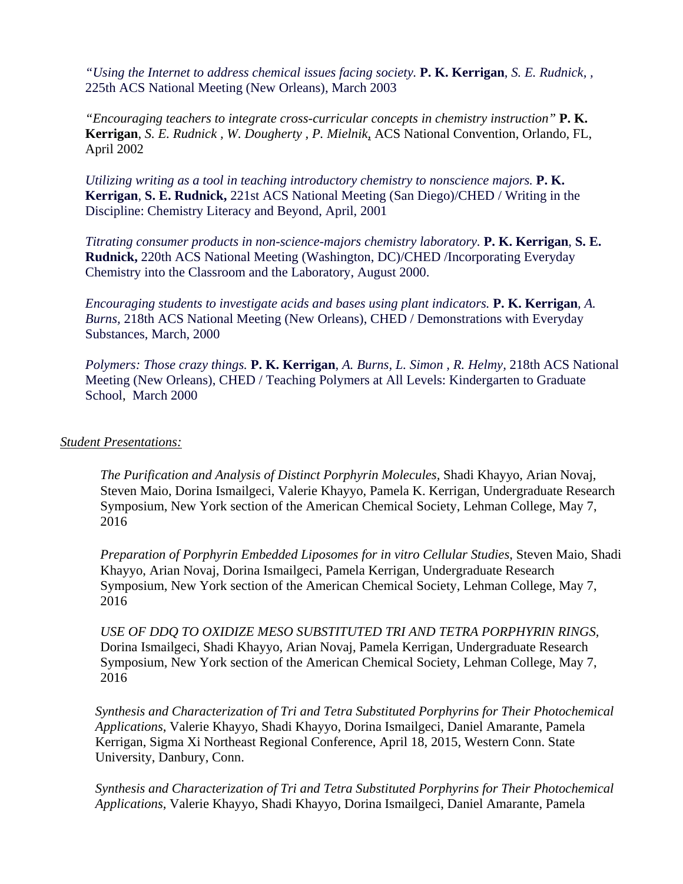*"Using the Internet to address chemical issues facing society.* **P. K. Kerrigan**, *S. E. Rudnick, ,*  225th ACS National Meeting (New Orleans), March 2003

*"Encouraging teachers to integrate cross-curricular concepts in chemistry instruction"* **P. K. Kerrigan**, *S. E. Rudnick , W. Dougherty , P. Mielnik,* ACS National Convention, Orlando, FL, April 2002

*Utilizing writing as a tool in teaching introductory chemistry to nonscience majors.* **P.K. Kerrigan**, **S. E. Rudnick,** 221st ACS National Meeting (San Diego)/CHED / Writing in the Discipline: Chemistry Literacy and Beyond, April, 2001

*Titrating consumer products in non-science-majors chemistry laboratory.* **P. K. Kerrigan**, **S. E. Rudnick,** 220th ACS National Meeting (Washington, DC)/CHED /Incorporating Everyday Chemistry into the Classroom and the Laboratory, August 2000.

*Encouraging students to investigate acids and bases using plant indicators.* **P. K. Kerrigan***, A. Burns,* 218th ACS National Meeting (New Orleans), CHED / Demonstrations with Everyday Substances, March, 2000

*Polymers: Those crazy things.* **P. K. Kerrigan**, *A. Burns, L. Simon , R. Helmy,* 218th ACS National Meeting (New Orleans), CHED / Teaching Polymers at All Levels: Kindergarten to Graduate School, March 2000

### *Student Presentations:*

*The Purification and Analysis of Distinct Porphyrin Molecules,* Shadi Khayyo, Arian Novaj, Steven Maio, Dorina Ismailgeci, Valerie Khayyo, Pamela K. Kerrigan, Undergraduate Research Symposium, New York section of the American Chemical Society, Lehman College, May 7, 2016

*Preparation of Porphyrin Embedded Liposomes for in vitro Cellular Studies*, Steven Maio, Shadi Khayyo, Arian Novaj, Dorina Ismailgeci, Pamela Kerrigan, Undergraduate Research Symposium, New York section of the American Chemical Society, Lehman College, May 7, 2016

*USE OF DDQ TO OXIDIZE MESO SUBSTITUTED TRI AND TETRA PORPHYRIN RINGS,*  Dorina Ismailgeci, Shadi Khayyo, Arian Novaj, Pamela Kerrigan, Undergraduate Research Symposium, New York section of the American Chemical Society, Lehman College, May 7, 2016

*Synthesis and Characterization of Tri and Tetra Substituted Porphyrins for Their Photochemical Applications*, Valerie Khayyo, Shadi Khayyo, Dorina Ismailgeci, Daniel Amarante, Pamela Kerrigan, Sigma Xi Northeast Regional Conference, April 18, 2015, Western Conn. State University, Danbury, Conn.

*Synthesis and Characterization of Tri and Tetra Substituted Porphyrins for Their Photochemical Applications*, Valerie Khayyo, Shadi Khayyo, Dorina Ismailgeci, Daniel Amarante, Pamela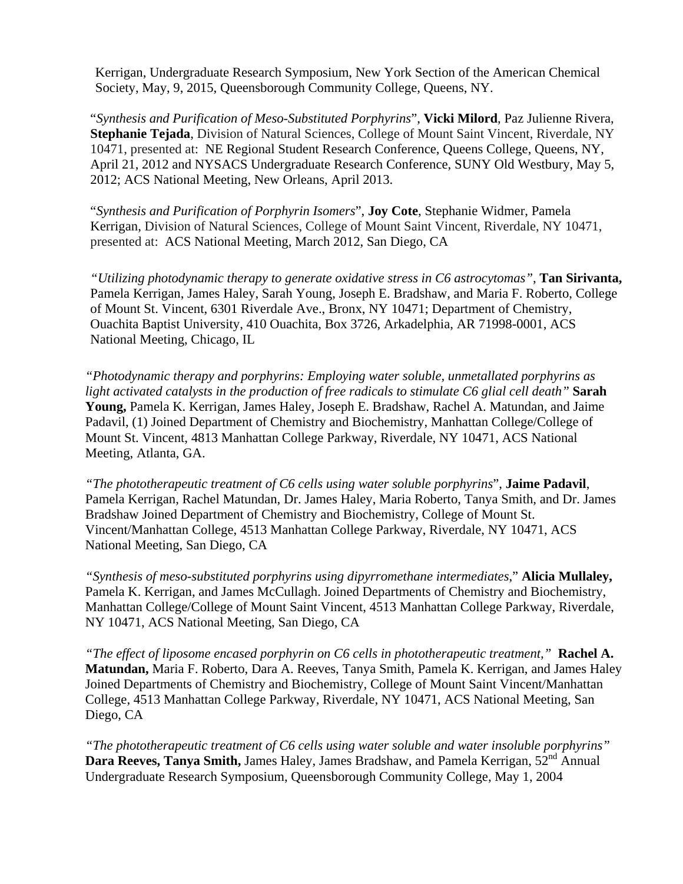Kerrigan, Undergraduate Research Symposium, New York Section of the American Chemical Society, May, 9, 2015, Queensborough Community College, Queens, NY.

"*Synthesis and Purification of Meso-Substituted Porphyrins*", **Vicki Milord**, Paz Julienne Rivera, **Stephanie Tejada**, Division of Natural Sciences, College of Mount Saint Vincent, Riverdale, NY 10471, presented at: NE Regional Student Research Conference, Queens College, Queens, NY, April 21, 2012 and NYSACS Undergraduate Research Conference, SUNY Old Westbury, May 5, 2012; ACS National Meeting, New Orleans, April 2013.

"*Synthesis and Purification of Porphyrin Isomers*", **Joy Cote**, Stephanie Widmer, Pamela Kerrigan, Division of Natural Sciences, College of Mount Saint Vincent, Riverdale, NY 10471, presented at: ACS National Meeting, March 2012, San Diego, CA

*"Utilizing photodynamic therapy to generate oxidative stress in C6 astrocytomas"*, **Tan Sirivanta,** Pamela Kerrigan, James Haley, Sarah Young, Joseph E. Bradshaw, and Maria F. Roberto, College of Mount St. Vincent, 6301 Riverdale Ave., Bronx, NY 10471; Department of Chemistry, Ouachita Baptist University, 410 Ouachita, Box 3726, Arkadelphia, AR 71998-0001, ACS National Meeting, Chicago, IL

*"Photodynamic therapy and porphyrins: Employing water soluble, unmetallated porphyrins as light activated catalysts in the production of free radicals to stimulate C6 glial cell death"* **Sarah Young,** Pamela K. Kerrigan, James Haley, Joseph E. Bradshaw, Rachel A. Matundan, and Jaime Padavil, (1) Joined Department of Chemistry and Biochemistry, Manhattan College/College of Mount St. Vincent, 4813 Manhattan College Parkway, Riverdale, NY 10471, ACS National Meeting, Atlanta, GA.

*"The phototherapeutic treatment of C6 cells using water soluble porphyrins*", **Jaime Padavil**, Pamela Kerrigan, Rachel Matundan, Dr. James Haley, Maria Roberto, Tanya Smith, and Dr. James Bradshaw Joined Department of Chemistry and Biochemistry, College of Mount St. Vincent/Manhattan College, 4513 Manhattan College Parkway, Riverdale, NY 10471, ACS National Meeting, San Diego, CA

*"Synthesis of meso-substituted porphyrins using dipyrromethane intermediates*," **Alicia Mullaley,** Pamela K. Kerrigan, and James McCullagh. Joined Departments of Chemistry and Biochemistry, Manhattan College/College of Mount Saint Vincent, 4513 Manhattan College Parkway, Riverdale, NY 10471, ACS National Meeting, San Diego, CA

*"The effect of liposome encased porphyrin on C6 cells in phototherapeutic treatment,"* **Rachel A. Matundan,** Maria F. Roberto, Dara A. Reeves, Tanya Smith, Pamela K. Kerrigan, and James Haley Joined Departments of Chemistry and Biochemistry, College of Mount Saint Vincent/Manhattan College, 4513 Manhattan College Parkway, Riverdale, NY 10471, ACS National Meeting, San Diego, CA

*"The phototherapeutic treatment of C6 cells using water soluble and water insoluble porphyrins"*  **Dara Reeves, Tanya Smith,** James Haley, James Bradshaw, and Pamela Kerrigan, 52<sup>nd</sup> Annual Undergraduate Research Symposium, Queensborough Community College, May 1, 2004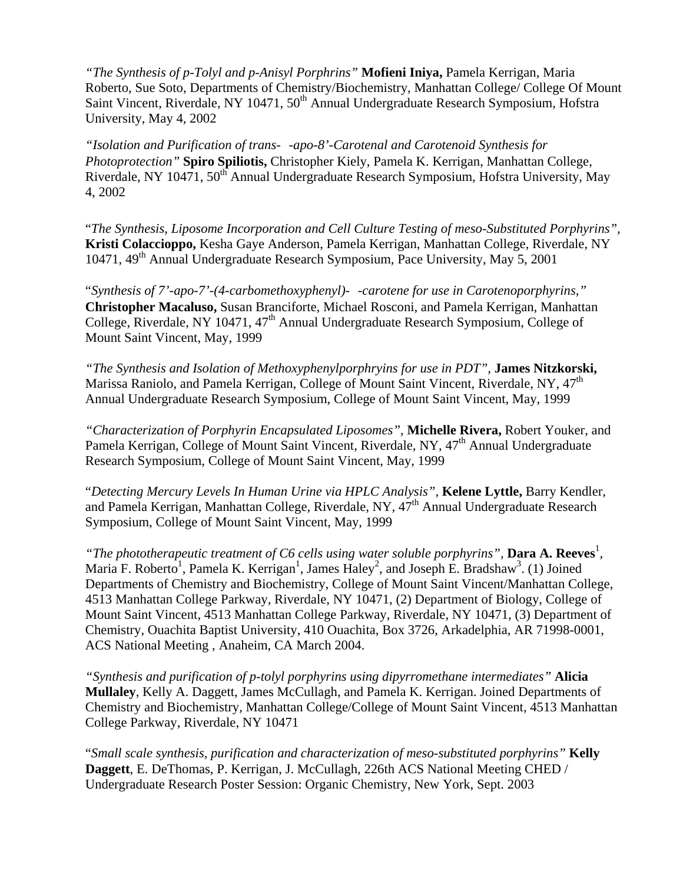*"The Synthesis of p-Tolyl and p-Anisyl Porphrins"* **Mofieni Iniya,** Pamela Kerrigan, Maria Roberto, Sue Soto, Departments of Chemistry/Biochemistry, Manhattan College/ College Of Mount Saint Vincent, Riverdale, NY 10471, 50<sup>th</sup> Annual Undergraduate Research Symposium, Hofstra University, May 4, 2002

*"Isolation and Purification of trans--apo-8'-Carotenal and Carotenoid Synthesis for Photoprotection"* **Spiro Spiliotis,** Christopher Kiely, Pamela K. Kerrigan, Manhattan College, Riverdale, NY 10471, 50<sup>th</sup> Annual Undergraduate Research Symposium, Hofstra University, May 4, 2002

 "*The Synthesis, Liposome Incorporation and Cell Culture Testing of meso-Substituted Porphyrins",*  **Kristi Colaccioppo,** Kesha Gaye Anderson, Pamela Kerrigan, Manhattan College, Riverdale, NY 10471, 49th Annual Undergraduate Research Symposium, Pace University, May 5, 2001

 "*Synthesis of 7'-apo-7'-(4-carbomethoxyphenyl)--carotene for use in Carotenoporphyrins,"* **Christopher Macaluso,** Susan Branciforte, Michael Rosconi, and Pamela Kerrigan, Manhattan College, Riverdale, NY 10471, 47<sup>th</sup> Annual Undergraduate Research Symposium, College of Mount Saint Vincent, May, 1999

*"The Synthesis and Isolation of Methoxyphenylporphryins for use in PDT",* **James Nitzkorski,** Marissa Raniolo, and Pamela Kerrigan, College of Mount Saint Vincent, Riverdale, NY, 47<sup>th</sup> Annual Undergraduate Research Symposium, College of Mount Saint Vincent, May, 1999

*"Characterization of Porphyrin Encapsulated Liposomes",* **Michelle Rivera,** Robert Youker, and Pamela Kerrigan, College of Mount Saint Vincent, Riverdale, NY, 47<sup>th</sup> Annual Undergraduate Research Symposium, College of Mount Saint Vincent, May, 1999

 "*Detecting Mercury Levels In Human Urine via HPLC Analysis",* **Kelene Lyttle,** Barry Kendler, and Pamela Kerrigan, Manhattan College, Riverdale, NY, 47<sup>th</sup> Annual Undergraduate Research Symposium, College of Mount Saint Vincent, May, 1999

"The phototherapeutic treatment of C6 cells using water soluble porphyrins", **Dara A. Reeves**<sup>1</sup>, Maria F. Roberto<sup>1</sup>, Pamela K. Kerrigan<sup>1</sup>, James Haley<sup>2</sup>, and Joseph E. Bradshaw<sup>3</sup>. (1) Joined Departments of Chemistry and Biochemistry, College of Mount Saint Vincent/Manhattan College, 4513 Manhattan College Parkway, Riverdale, NY 10471, (2) Department of Biology, College of Mount Saint Vincent, 4513 Manhattan College Parkway, Riverdale, NY 10471, (3) Department of Chemistry, Ouachita Baptist University, 410 Ouachita, Box 3726, Arkadelphia, AR 71998-0001, ACS National Meeting , Anaheim, CA March 2004.

*"Synthesis and purification of p-tolyl porphyrins using dipyrromethane intermediates"* **Alicia Mullaley**, Kelly A. Daggett, James McCullagh, and Pamela K. Kerrigan. Joined Departments of Chemistry and Biochemistry, Manhattan College/College of Mount Saint Vincent, 4513 Manhattan College Parkway, Riverdale, NY 10471

 "*Small scale synthesis, purification and characterization of meso-substituted porphyrins"* **Kelly Daggett**, E. DeThomas, P. Kerrigan, J. McCullagh, 226th ACS National Meeting CHED / Undergraduate Research Poster Session: Organic Chemistry, New York, Sept. 2003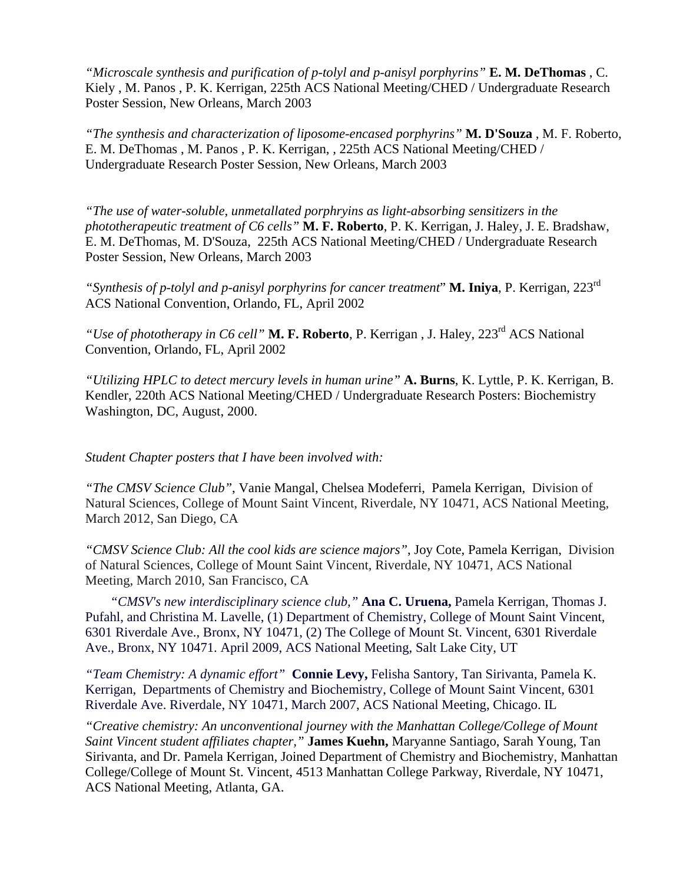*"Microscale synthesis and purification of p-tolyl and p-anisyl porphyrins"* **E. M. DeThomas** , C. Kiely , M. Panos , P. K. Kerrigan, 225th ACS National Meeting/CHED / Undergraduate Research Poster Session, New Orleans, March 2003

*"The synthesis and characterization of liposome-encased porphyrins"* **M. D'Souza** , M. F. Roberto, E. M. DeThomas , M. Panos , P. K. Kerrigan, *,* 225th ACS National Meeting/CHED / Undergraduate Research Poster Session, New Orleans, March 2003

*"The use of water-soluble, unmetallated porphryins as light-absorbing sensitizers in the phototherapeutic treatment of C6 cells"* **M. F. Roberto**, P. K. Kerrigan, J. Haley, J. E. Bradshaw, E. M. DeThomas, M. D'Souza, 225th ACS National Meeting/CHED / Undergraduate Research Poster Session, New Orleans, March 2003

*"Synthesis of p-tolyl and p-anisyl porphyrins for cancer treatment*" **M. Iniya**, P. Kerrigan, 223rd ACS National Convention, Orlando, FL, April 2002

*"Use of phototherapy in C6 cell"* **M. F. Roberto**, P. Kerrigan , J. Haley, 223rd ACS National Convention, Orlando, FL, April 2002

*"Utilizing HPLC to detect mercury levels in human urine"* **A. Burns**, K. Lyttle, P. K. Kerrigan, B. Kendler, 220th ACS National Meeting/CHED / Undergraduate Research Posters: Biochemistry Washington, DC, August, 2000.

*Student Chapter posters that I have been involved with:* 

*"The CMSV Science Club"*, Vanie Mangal, Chelsea Modeferri, Pamela Kerrigan, Division of Natural Sciences, College of Mount Saint Vincent, Riverdale, NY 10471, ACS National Meeting, March 2012, San Diego, CA

*"CMSV Science Club: All the cool kids are science majors"*, Joy Cote, Pamela Kerrigan, Division of Natural Sciences, College of Mount Saint Vincent, Riverdale, NY 10471, ACS National Meeting, March 2010, San Francisco, CA

*"CMSV's new interdisciplinary science club,"* **Ana C. Uruena,** Pamela Kerrigan, Thomas J. Pufahl, and Christina M. Lavelle, (1) Department of Chemistry, College of Mount Saint Vincent, 6301 Riverdale Ave., Bronx, NY 10471, (2) The College of Mount St. Vincent, 6301 Riverdale Ave., Bronx, NY 10471. April 2009, ACS National Meeting, Salt Lake City, UT

*"Team Chemistry: A dynamic effort"* **Connie Levy,** Felisha Santory, Tan Sirivanta, Pamela K. Kerrigan, Departments of Chemistry and Biochemistry, College of Mount Saint Vincent, 6301 Riverdale Ave. Riverdale, NY 10471, March 2007, ACS National Meeting, Chicago. IL

*"Creative chemistry: An unconventional journey with the Manhattan College/College of Mount Saint Vincent student affiliates chapter,"* **James Kuehn,** Maryanne Santiago, Sarah Young, Tan Sirivanta, and Dr. Pamela Kerrigan, Joined Department of Chemistry and Biochemistry, Manhattan College/College of Mount St. Vincent, 4513 Manhattan College Parkway, Riverdale, NY 10471, ACS National Meeting, Atlanta, GA.